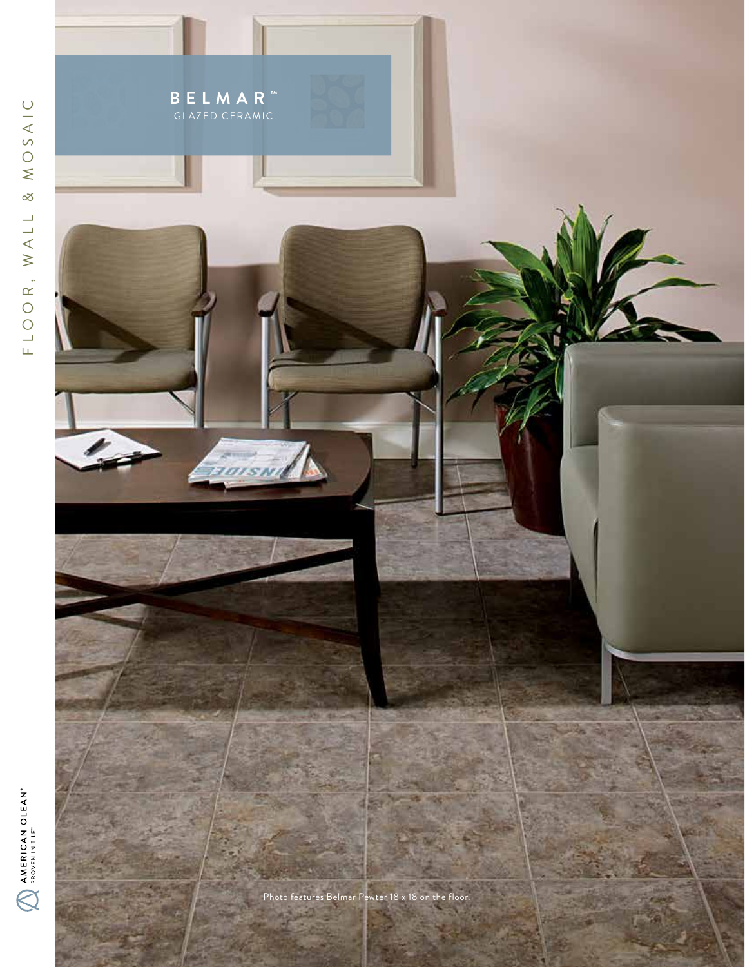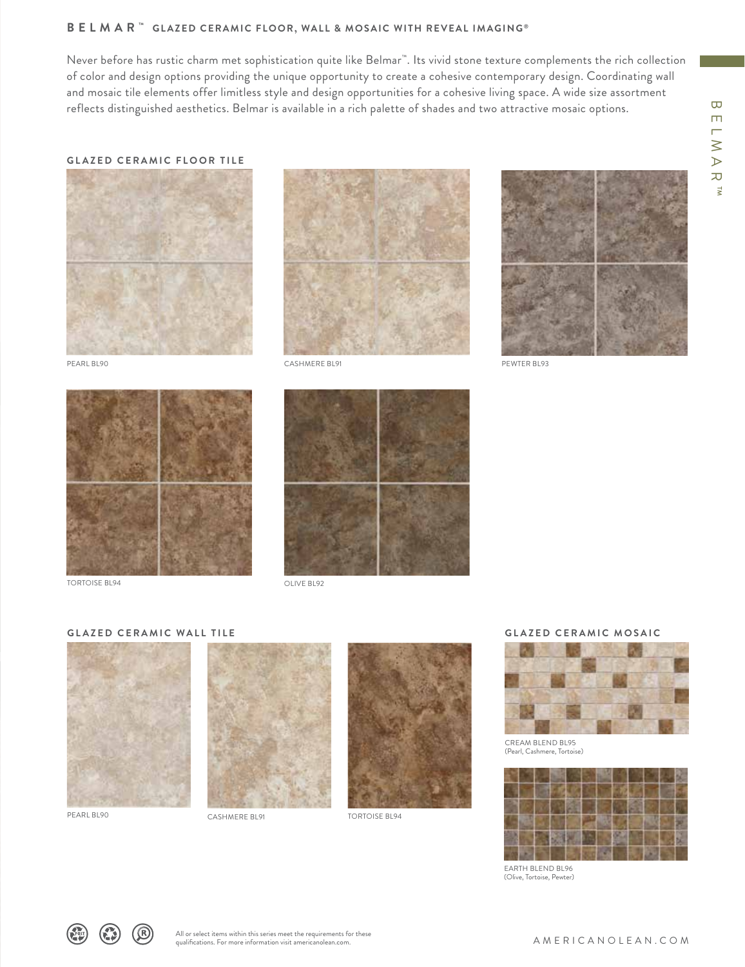# **BELMAR ™ GLAZED CERAMIC FLOOR, WALL & MOSAIC WITH REVEAL IMAGING ®**

Never before has rustic charm met sophistication quite like Belmar™. Its vivid stone texture complements the rich collection of color and design options providing the unique opportunity to create a cohesive contemporary design. Coordinating wall and mosaic tile elements offer limitless style and design opportunities for a cohesive living space. A wide size assortment reflects distinguished aesthetics. Belmar is available in a rich palette of shades and two attractive mosaic options.

### **GLAZED CERAMIC FLOOR TILE**









TORTOISE BL94



OLIVE BL92

#### **GLAZED CERAMIC WALL TILE**







# **GLAZED CERAMIC MOSAIC**



CREAM BLEND BL95 (Pearl, Cashmere, Tortoise)



EARTH BLEND BL96 (Olive, Tortoise, Pewter)

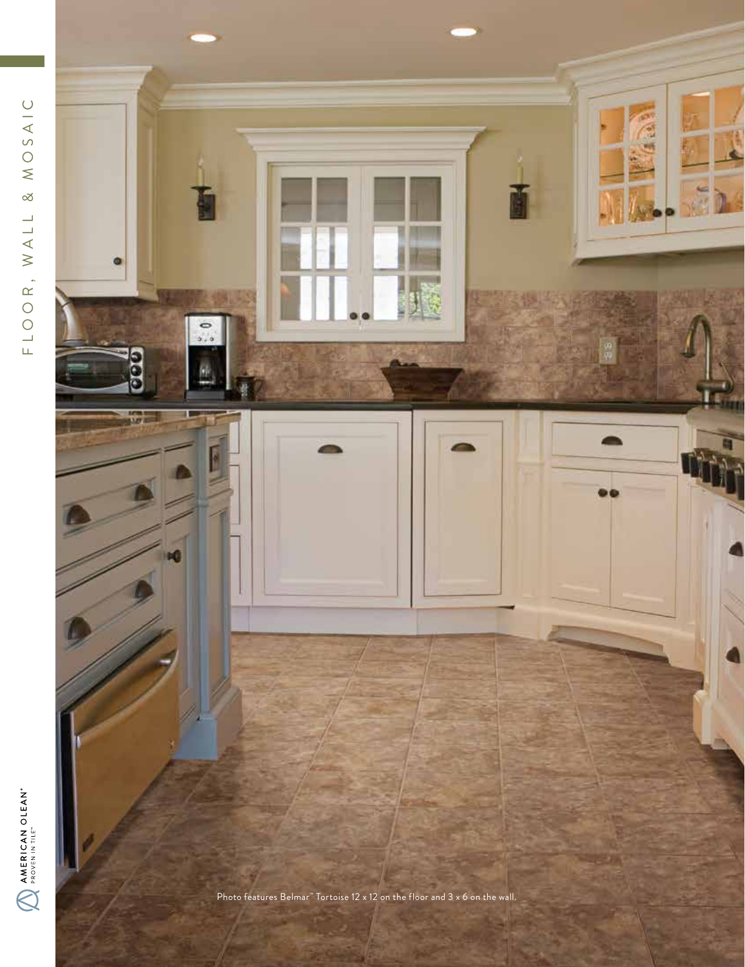$\sum_{i=0}^{n}$ Photo features Belmar<sup>™</sup> Tortoise 12 x 12 on the floor and 3 x 6 on the wall.

AMERICAN OLEAN